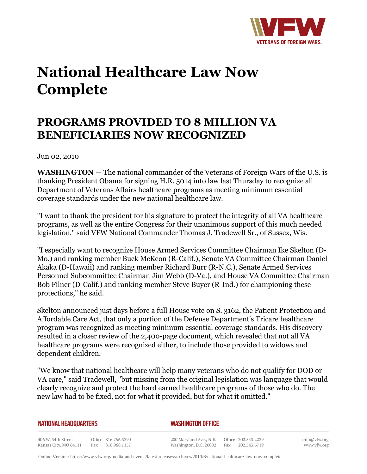

## **National Healthcare Law Now Complete**

## **PROGRAMS PROVIDED TO 8 MILLION VA BENEFICIARIES NOW RECOGNIZED**

Jun 02, 2010

**WASHINGTON** — The national commander of the Veterans of Foreign Wars of the U.S. is thanking President Obama for signing H.R. 5014 into law last Thursday to recognize all Department of Veterans Affairs healthcare programs as meeting minimum essential coverage standards under the new national healthcare law.

"I want to thank the president for his signature to protect the integrity of all VA healthcare programs, as well as the entire Congress for their unanimous support of this much needed legislation," said VFW National Commander Thomas J. Tradewell Sr., of Sussex, Wis.

"I especially want to recognize House Armed Services Committee Chairman Ike Skelton (D-Mo.) and ranking member Buck McKeon (R-Calif.), Senate VA Committee Chairman Daniel Akaka (D-Hawaii) and ranking member Richard Burr (R-N.C.), Senate Armed Services Personnel Subcommittee Chairman Jim Webb (D-Va.), and House VA Committee Chairman Bob Filner (D-Calif.) and ranking member Steve Buyer (R-Ind.) for championing these protections," he said.

Skelton announced just days before a full House vote on S. 3162, the Patient Protection and Affordable Care Act, that only a portion of the Defense Department's Tricare healthcare program was recognized as meeting minimum essential coverage standards. His discovery resulted in a closer review of the 2,400-page document, which revealed that not all VA healthcare programs were recognized either, to include those provided to widows and dependent children.

"We know that national healthcare will help many veterans who do not qualify for DOD or VA care," said Tradewell, "but missing from the original legislation was language that would clearly recognize and protect the hard earned healthcare programs of those who do. The new law had to be fixed, not for what it provided, but for what it omitted."

## **NATIONAL HEADQUARTERS**

*WASHINGTON OFFICE* 

406 W. 34th Street Office 816.756.3390 Fax 816.968.1157 Kansas City, MO 64111

200 Maryland Ave., N.E. Washington, D.C. 20002 Fax 202.543.6719

Office 202.543.2239

info@vfw.org www.vfw.org

Online Version:<https://www.vfw.org/media-and-events/latest-releases/archives/2010/6/national-healthcare-law-now-complete>